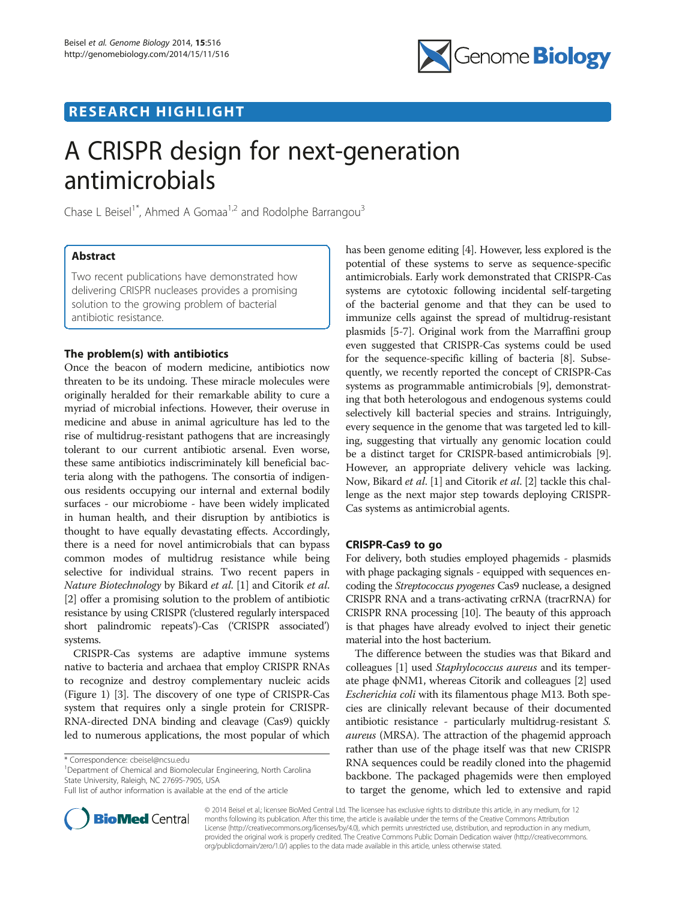

## RESEARCH HIGHLIGHT

# A CRISPR design for next-generation antimicrobials

Chase L Beisel<sup>1\*</sup>, Ahmed A Gomaa<sup>1,2</sup> and Rodolphe Barrangou<sup>3</sup>

## Abstract

Two recent publications have demonstrated how delivering CRISPR nucleases provides a promising solution to the growing problem of bacterial antibiotic resistance.

## The problem(s) with antibiotics

Once the beacon of modern medicine, antibiotics now threaten to be its undoing. These miracle molecules were originally heralded for their remarkable ability to cure a myriad of microbial infections. However, their overuse in medicine and abuse in animal agriculture has led to the rise of multidrug-resistant pathogens that are increasingly tolerant to our current antibiotic arsenal. Even worse, these same antibiotics indiscriminately kill beneficial bacteria along with the pathogens. The consortia of indigenous residents occupying our internal and external bodily surfaces - our microbiome - have been widely implicated in human health, and their disruption by antibiotics is thought to have equally devastating effects. Accordingly, there is a need for novel antimicrobials that can bypass common modes of multidrug resistance while being selective for individual strains. Two recent papers in Nature Biotechnology by Bikard et al. [[1](#page-2-0)] and Citorik et al. [[2\]](#page-2-0) offer a promising solution to the problem of antibiotic resistance by using CRISPR ('clustered regularly interspaced short palindromic repeats')-Cas ('CRISPR associated') systems.

CRISPR-Cas systems are adaptive immune systems native to bacteria and archaea that employ CRISPR RNAs to recognize and destroy complementary nucleic acids (Figure [1\)](#page-1-0) [[3](#page-2-0)]. The discovery of one type of CRISPR-Cas system that requires only a single protein for CRISPR-RNA-directed DNA binding and cleavage (Cas9) quickly led to numerous applications, the most popular of which

<sup>1</sup>Department of Chemical and Biomolecular Engineering, North Carolina State University, Raleigh, NC 27695-7905, USA



## CRISPR-Cas9 to go

For delivery, both studies employed phagemids - plasmids with phage packaging signals - equipped with sequences encoding the Streptococcus pyogenes Cas9 nuclease, a designed CRISPR RNA and a trans-activating crRNA (tracrRNA) for CRISPR RNA processing [\[10\]](#page-3-0). The beauty of this approach is that phages have already evolved to inject their genetic material into the host bacterium.

The difference between the studies was that Bikard and colleagues [[1](#page-2-0)] used *Staphylococcus aureus* and its temperate phage ϕNM1, whereas Citorik and colleagues [\[2](#page-2-0)] used Escherichia coli with its filamentous phage M13. Both species are clinically relevant because of their documented antibiotic resistance - particularly multidrug-resistant S. aureus (MRSA). The attraction of the phagemid approach rather than use of the phage itself was that new CRISPR RNA sequences could be readily cloned into the phagemid backbone. The packaged phagemids were then employed to target the genome, which led to extensive and rapid



© 2014 Beisel et al.; licensee BioMed Central Ltd. The licensee has exclusive rights to distribute this article, in any medium, for 12 months following its publication. After this time, the article is available under the terms of the Creative Commons Attribution License (<http://creativecommons.org/licenses/by/4.0>), which permits unrestricted use, distribution, and reproduction in any medium, provided the original work is properly credited. The Creative Commons Public Domain Dedication waiver ([http://creativecommons.](http://creativecommons.org/publicdomain/zero/1.0/) [org/publicdomain/zero/1.0/\)](http://creativecommons.org/publicdomain/zero/1.0/) applies to the data made available in this article, unless otherwise stated.

<sup>\*</sup> Correspondence: [cbeisel@ncsu.edu](mailto:cbeisel@ncsu.edu) <sup>1</sup>

Full list of author information is available at the end of the article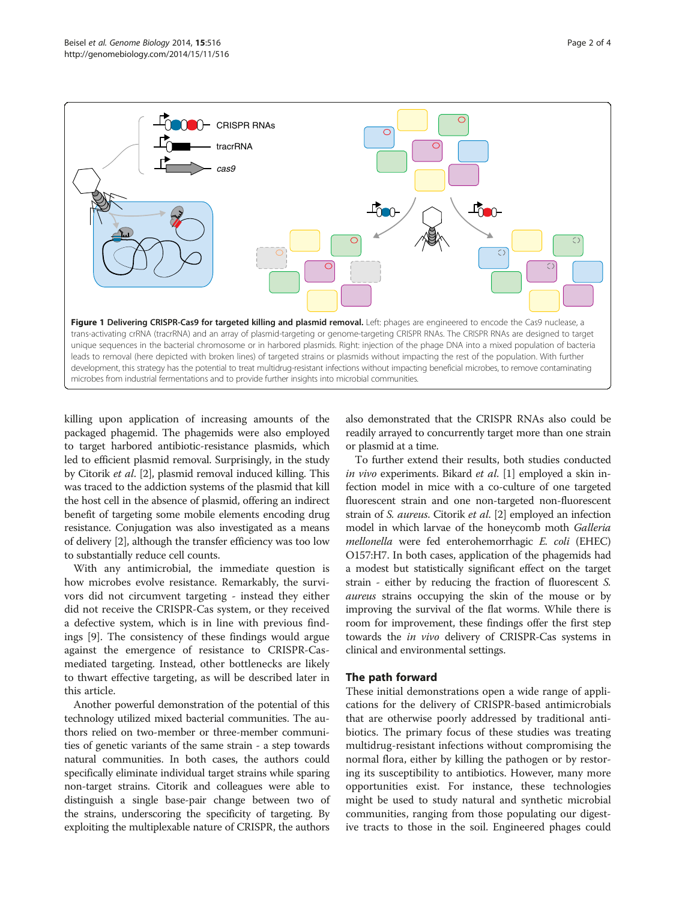<span id="page-1-0"></span>

killing upon application of increasing amounts of the packaged phagemid. The phagemids were also employed to target harbored antibiotic-resistance plasmids, which led to efficient plasmid removal. Surprisingly, in the study by Citorik et al. [\[2\]](#page-2-0), plasmid removal induced killing. This was traced to the addiction systems of the plasmid that kill the host cell in the absence of plasmid, offering an indirect benefit of targeting some mobile elements encoding drug resistance. Conjugation was also investigated as a means of delivery [[2\]](#page-2-0), although the transfer efficiency was too low to substantially reduce cell counts.

With any antimicrobial, the immediate question is how microbes evolve resistance. Remarkably, the survivors did not circumvent targeting - instead they either did not receive the CRISPR-Cas system, or they received a defective system, which is in line with previous findings [\[9](#page-3-0)]. The consistency of these findings would argue against the emergence of resistance to CRISPR-Casmediated targeting. Instead, other bottlenecks are likely to thwart effective targeting, as will be described later in this article.

Another powerful demonstration of the potential of this technology utilized mixed bacterial communities. The authors relied on two-member or three-member communities of genetic variants of the same strain - a step towards natural communities. In both cases, the authors could specifically eliminate individual target strains while sparing non-target strains. Citorik and colleagues were able to distinguish a single base-pair change between two of the strains, underscoring the specificity of targeting. By exploiting the multiplexable nature of CRISPR, the authors also demonstrated that the CRISPR RNAs also could be readily arrayed to concurrently target more than one strain or plasmid at a time.

To further extend their results, both studies conducted in vivo experiments. Bikard et al. [\[1](#page-2-0)] employed a skin infection model in mice with a co-culture of one targeted fluorescent strain and one non-targeted non-fluorescent strain of S. aureus. Citorik et al. [[2](#page-2-0)] employed an infection model in which larvae of the honeycomb moth Galleria mellonella were fed enterohemorrhagic E. coli (EHEC) O157:H7. In both cases, application of the phagemids had a modest but statistically significant effect on the target strain - either by reducing the fraction of fluorescent S. aureus strains occupying the skin of the mouse or by improving the survival of the flat worms. While there is room for improvement, these findings offer the first step towards the in vivo delivery of CRISPR-Cas systems in clinical and environmental settings.

## The path forward

These initial demonstrations open a wide range of applications for the delivery of CRISPR-based antimicrobials that are otherwise poorly addressed by traditional antibiotics. The primary focus of these studies was treating multidrug-resistant infections without compromising the normal flora, either by killing the pathogen or by restoring its susceptibility to antibiotics. However, many more opportunities exist. For instance, these technologies might be used to study natural and synthetic microbial communities, ranging from those populating our digestive tracts to those in the soil. Engineered phages could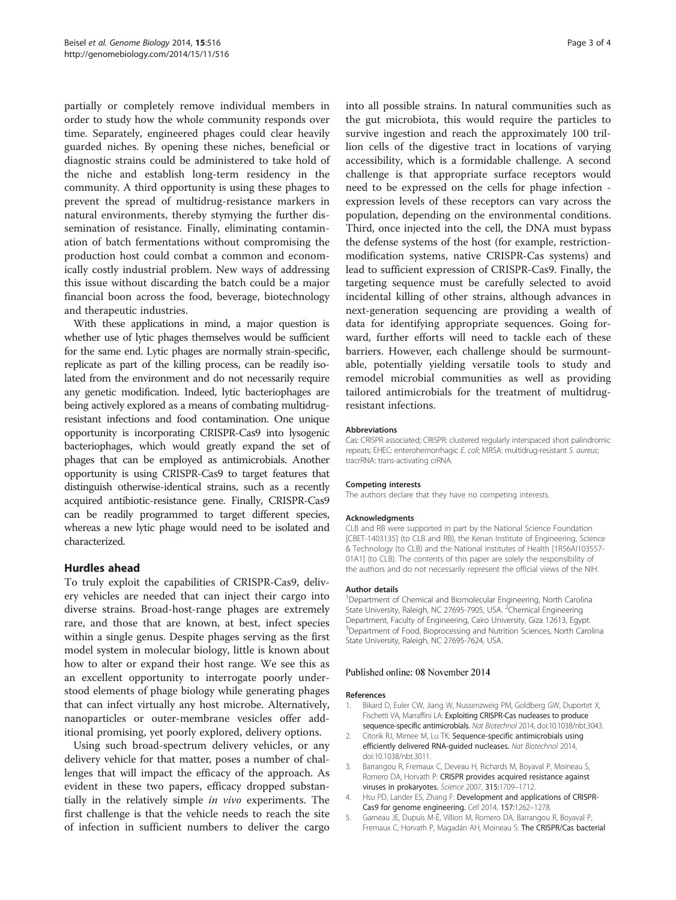<span id="page-2-0"></span>partially or completely remove individual members in order to study how the whole community responds over time. Separately, engineered phages could clear heavily guarded niches. By opening these niches, beneficial or diagnostic strains could be administered to take hold of the niche and establish long-term residency in the community. A third opportunity is using these phages to prevent the spread of multidrug-resistance markers in natural environments, thereby stymying the further dissemination of resistance. Finally, eliminating contamination of batch fermentations without compromising the production host could combat a common and economically costly industrial problem. New ways of addressing this issue without discarding the batch could be a major financial boon across the food, beverage, biotechnology and therapeutic industries.

With these applications in mind, a major question is whether use of lytic phages themselves would be sufficient for the same end. Lytic phages are normally strain-specific, replicate as part of the killing process, can be readily isolated from the environment and do not necessarily require any genetic modification. Indeed, lytic bacteriophages are being actively explored as a means of combating multidrugresistant infections and food contamination. One unique opportunity is incorporating CRISPR-Cas9 into lysogenic bacteriophages, which would greatly expand the set of phages that can be employed as antimicrobials. Another opportunity is using CRISPR-Cas9 to target features that distinguish otherwise-identical strains, such as a recently acquired antibiotic-resistance gene. Finally, CRISPR-Cas9 can be readily programmed to target different species, whereas a new lytic phage would need to be isolated and characterized.

## Hurdles ahead

To truly exploit the capabilities of CRISPR-Cas9, delivery vehicles are needed that can inject their cargo into diverse strains. Broad-host-range phages are extremely rare, and those that are known, at best, infect species within a single genus. Despite phages serving as the first model system in molecular biology, little is known about how to alter or expand their host range. We see this as an excellent opportunity to interrogate poorly understood elements of phage biology while generating phages that can infect virtually any host microbe. Alternatively, nanoparticles or outer-membrane vesicles offer additional promising, yet poorly explored, delivery options.

Using such broad-spectrum delivery vehicles, or any delivery vehicle for that matter, poses a number of challenges that will impact the efficacy of the approach. As evident in these two papers, efficacy dropped substantially in the relatively simple in vivo experiments. The first challenge is that the vehicle needs to reach the site of infection in sufficient numbers to deliver the cargo

into all possible strains. In natural communities such as the gut microbiota, this would require the particles to survive ingestion and reach the approximately 100 trillion cells of the digestive tract in locations of varying accessibility, which is a formidable challenge. A second challenge is that appropriate surface receptors would need to be expressed on the cells for phage infection expression levels of these receptors can vary across the population, depending on the environmental conditions. Third, once injected into the cell, the DNA must bypass the defense systems of the host (for example, restrictionmodification systems, native CRISPR-Cas systems) and lead to sufficient expression of CRISPR-Cas9. Finally, the targeting sequence must be carefully selected to avoid incidental killing of other strains, although advances in next-generation sequencing are providing a wealth of data for identifying appropriate sequences. Going forward, further efforts will need to tackle each of these barriers. However, each challenge should be surmountable, potentially yielding versatile tools to study and remodel microbial communities as well as providing tailored antimicrobials for the treatment of multidrugresistant infections.

#### Abbreviations

Cas: CRISPR associated; CRISPR: clustered regularly interspaced short palindromic repeats; EHEC: enterohemorrhagic E. coli; MRSA: multidrug-resistant S. aureus; tracrRNA: trans-activating crRNA.

#### Competing interests

The authors declare that they have no competing interests.

#### Acknowledgments

CLB and RB were supported in part by the National Science Foundation [CBET-1403135] (to CLB and RB), the Kenan Institute of Engineering, Science & Technology (to CLB) and the National Institutes of Health [1R56AI103557- 01A1] (to CLB). The contents of this paper are solely the responsibility of the authors and do not necessarily represent the official views of the NIH.

#### Author details

<sup>1</sup>Department of Chemical and Biomolecular Engineering, North Carolina State University, Raleigh, NC 27695-7905, USA.<sup>2</sup>Chemical Engineering Department, Faculty of Engineering, Cairo University, Giza 12613, Egypt. <sup>3</sup>Department of Food, Bioprocessing and Nutrition Sciences, North Carolina State University, Raleigh, NC 27695-7624, USA.

#### Published online: 08 November 2014

#### References

- Bikard D, Euler CW, Jiang W, Nussenzweig PM, Goldberg GW, Duportet X, Fischetti VA, Marraffini LA: Exploiting CRISPR-Cas nucleases to produce sequence-specific antimicrobials. Nat Biotechnol 2014, doi:10.1038/nbt.3043.
- Citorik RJ, Mimee M, Lu TK: Sequence-specific antimicrobials using efficiently delivered RNA-guided nucleases. Nat Biotechnol 2014, doi:10.1038/nbt.3011.
- 3. Barrangou R, Fremaux C, Deveau H, Richards M, Boyaval P, Moineau S, Romero DA, Horvath P: CRISPR provides acquired resistance against viruses in prokaryotes. Science 2007, 315:1709–1712.
- 4. Hsu PD, Lander ES, Zhang F: Development and applications of CRISPR-Cas9 for genome engineering. Cell 2014, 157:1262–1278.
- 5. Garneau JE, Dupuis M-È, Villion M, Romero DA, Barrangou R, Boyaval P, Fremaux C, Horvath P, Magadán AH, Moineau S: The CRISPR/Cas bacterial